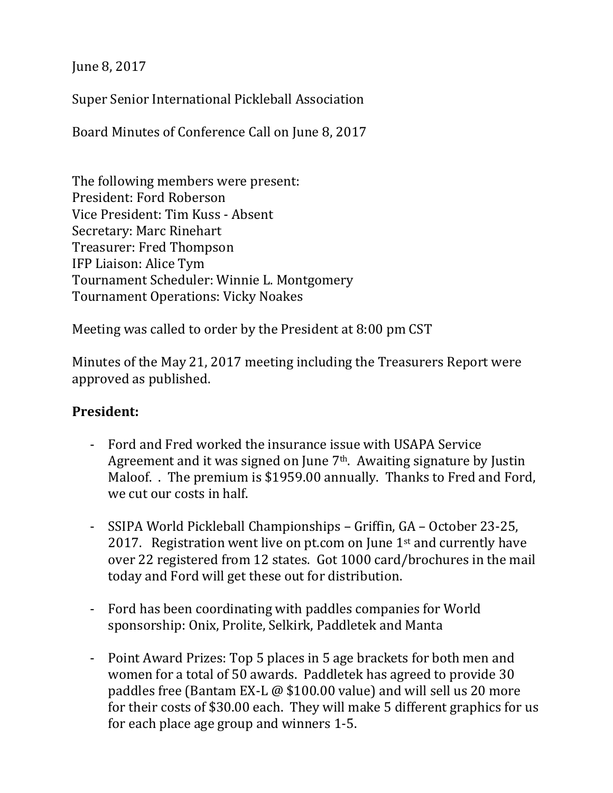June 8, 2017

Super Senior International Pickleball Association

Board Minutes of Conference Call on June 8, 2017

The following members were present: President: Ford Roberson Vice President: Tim Kuss - Absent Secretary: Marc Rinehart Treasurer: Fred Thompson IFP Liaison: Alice Tym Tournament Scheduler: Winnie L. Montgomery Tournament Operations: Vicky Noakes

Meeting was called to order by the President at 8:00 pm CST

Minutes of the May 21, 2017 meeting including the Treasurers Report were approved as published.

## **President:**

- Ford and Fred worked the insurance issue with USAPA Service Agreement and it was signed on June  $7<sup>th</sup>$ . Awaiting signature by Justin Maloof. . The premium is \$1959.00 annually. Thanks to Fred and Ford, we cut our costs in half.
- SSIPA World Pickleball Championships Griffin, GA October 23-25, 2017. Registration went live on pt.com on June  $1<sup>st</sup>$  and currently have over 22 registered from 12 states. Got 1000 card/brochures in the mail today and Ford will get these out for distribution.
- Ford has been coordinating with paddles companies for World sponsorship: Onix, Prolite, Selkirk, Paddletek and Manta
- Point Award Prizes: Top 5 places in 5 age brackets for both men and women for a total of 50 awards. Paddletek has agreed to provide 30 paddles free (Bantam EX-L @ \$100.00 value) and will sell us 20 more for their costs of \$30.00 each. They will make 5 different graphics for us for each place age group and winners 1-5.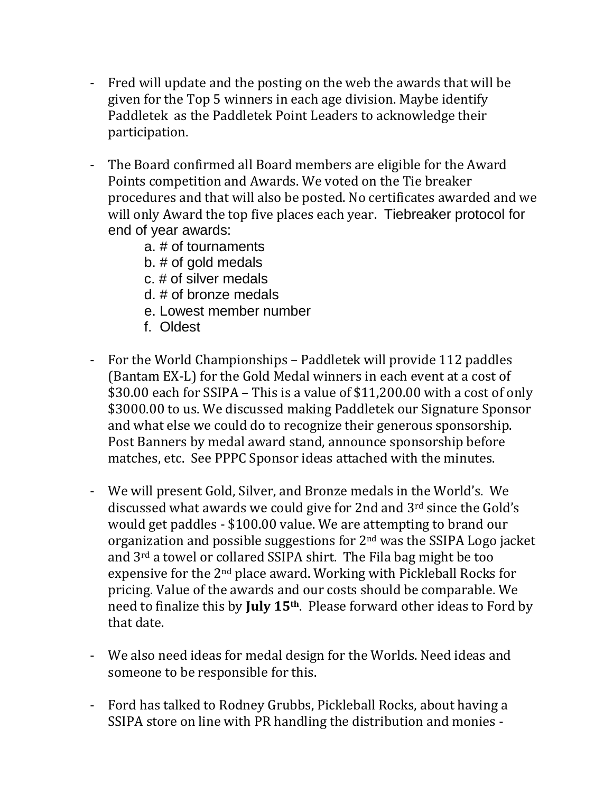- Fred will update and the posting on the web the awards that will be given for the Top 5 winners in each age division. Maybe identify Paddletek as the Paddletek Point Leaders to acknowledge their participation.
- The Board confirmed all Board members are eligible for the Award Points competition and Awards. We voted on the Tie breaker procedures and that will also be posted. No certificates awarded and we will only Award the top five places each year. Tiebreaker protocol for end of year awards:
	- a. # of tournaments
	- b. # of gold medals
	- c. # of silver medals
	- d. # of bronze medals
	- e. Lowest member number
	- f. Oldest
- For the World Championships Paddletek will provide 112 paddles (Bantam EX-L) for the Gold Medal winners in each event at a cost of \$30.00 each for SSIPA – This is a value of \$11,200.00 with a cost of only \$3000.00 to us. We discussed making Paddletek our Signature Sponsor and what else we could do to recognize their generous sponsorship. Post Banners by medal award stand, announce sponsorship before matches, etc. See PPPC Sponsor ideas attached with the minutes.
- We will present Gold, Silver, and Bronze medals in the World's. We discussed what awards we could give for 2nd and 3rd since the Gold's would get paddles - \$100.00 value. We are attempting to brand our organization and possible suggestions for 2nd was the SSIPA Logo jacket and 3rd a towel or collared SSIPA shirt. The Fila bag might be too expensive for the 2nd place award. Working with Pickleball Rocks for pricing. Value of the awards and our costs should be comparable. We need to finalize this by **July 15th**. Please forward other ideas to Ford by that date.
- We also need ideas for medal design for the Worlds. Need ideas and someone to be responsible for this.
- Ford has talked to Rodney Grubbs, Pickleball Rocks, about having a SSIPA store on line with PR handling the distribution and monies -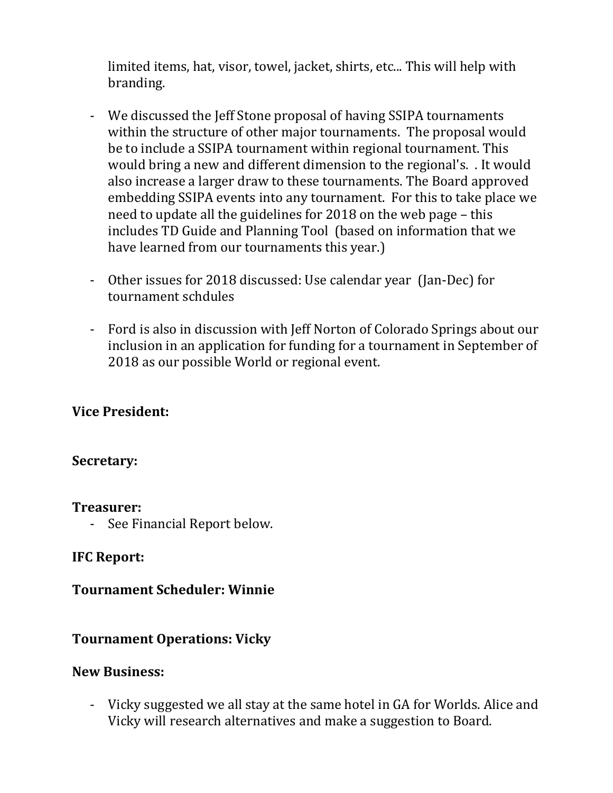limited items, hat, visor, towel, jacket, shirts, etc... This will help with branding.

- We discussed the Jeff Stone proposal of having SSIPA tournaments within the structure of other major tournaments. The proposal would be to include a SSIPA tournament within regional tournament. This would bring a new and different dimension to the regional's. . It would also increase a larger draw to these tournaments. The Board approved embedding SSIPA events into any tournament. For this to take place we need to update all the guidelines for 2018 on the web page – this includes TD Guide and Planning Tool (based on information that we have learned from our tournaments this year.)
- Other issues for 2018 discussed: Use calendar year (Jan-Dec) for tournament schdules
- Ford is also in discussion with Jeff Norton of Colorado Springs about our inclusion in an application for funding for a tournament in September of 2018 as our possible World or regional event.

## **Vice President:**

#### **Secretary:**

#### **Treasurer:**

- See Financial Report below.

## **IFC Report:**

#### **Tournament Scheduler: Winnie**

## **Tournament Operations: Vicky**

#### **New Business:**

- Vicky suggested we all stay at the same hotel in GA for Worlds. Alice and Vicky will research alternatives and make a suggestion to Board.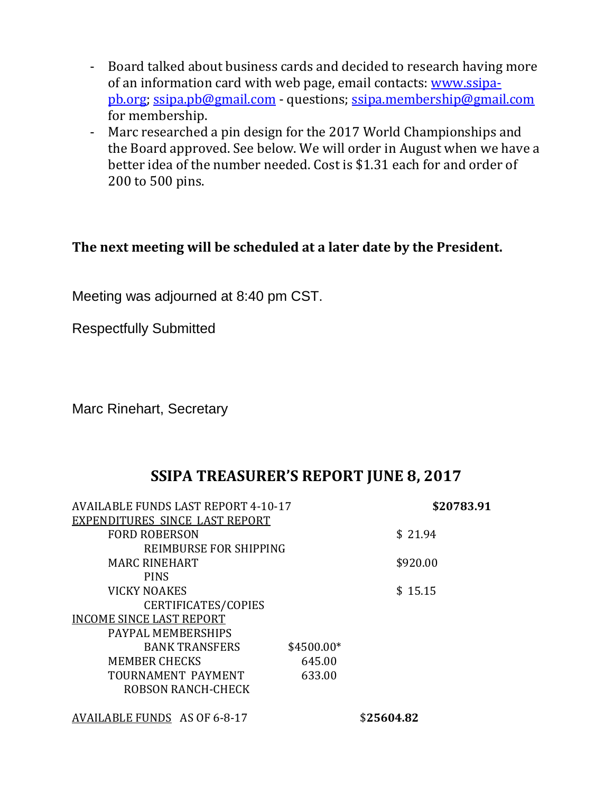- Board talked about business cards and decided to research having more of an information card with web page, email contacts: [www.ssipa](http://www.ssipa-pb.org/)[pb.org;](http://www.ssipa-pb.org/) [ssipa.pb@gmail.com](mailto:ssipa.pb@gmail.com) - questions; [ssipa.membership@gmail.com](mailto:ssipa.membership@gmail.com) for membership.
- Marc researched a pin design for the 2017 World Championships and the Board approved. See below. We will order in August when we have a better idea of the number needed. Cost is \$1.31 each for and order of 200 to 500 pins.

## **The next meeting will be scheduled at a later date by the President.**

Meeting was adjourned at 8:40 pm CST.

Respectfully Submitted

Marc Rinehart, Secretary

# **SSIPA TREASURER'S REPORT JUNE 8, 2017**

| <b>AVAILABLE FUNDS LAST REPORT 4-10-17</b> |             | \$20783.91 |  |
|--------------------------------------------|-------------|------------|--|
| EXPENDITURES SINCE LAST REPORT             |             |            |  |
| <b>FORD ROBERSON</b>                       |             | \$21.94    |  |
| REIMBURSE FOR SHIPPING                     |             |            |  |
| <b>MARC RINEHART</b>                       |             | \$920.00   |  |
| <b>PINS</b>                                |             |            |  |
| <b>VICKY NOAKES</b>                        |             | \$15.15    |  |
| CERTIFICATES/COPIES                        |             |            |  |
| <b>INCOME SINCE LAST REPORT</b>            |             |            |  |
| PAYPAL MEMBERSHIPS                         |             |            |  |
| <b>BANK TRANSFERS</b>                      | $$4500.00*$ |            |  |
| <b>MEMBER CHECKS</b>                       | 645.00      |            |  |
| TOURNAMENT PAYMENT                         | 633.00      |            |  |
| <b>ROBSON RANCH-CHECK</b>                  |             |            |  |
| AVAILABLE FUNDS AS OF 6-8-17               |             | \$25604.82 |  |